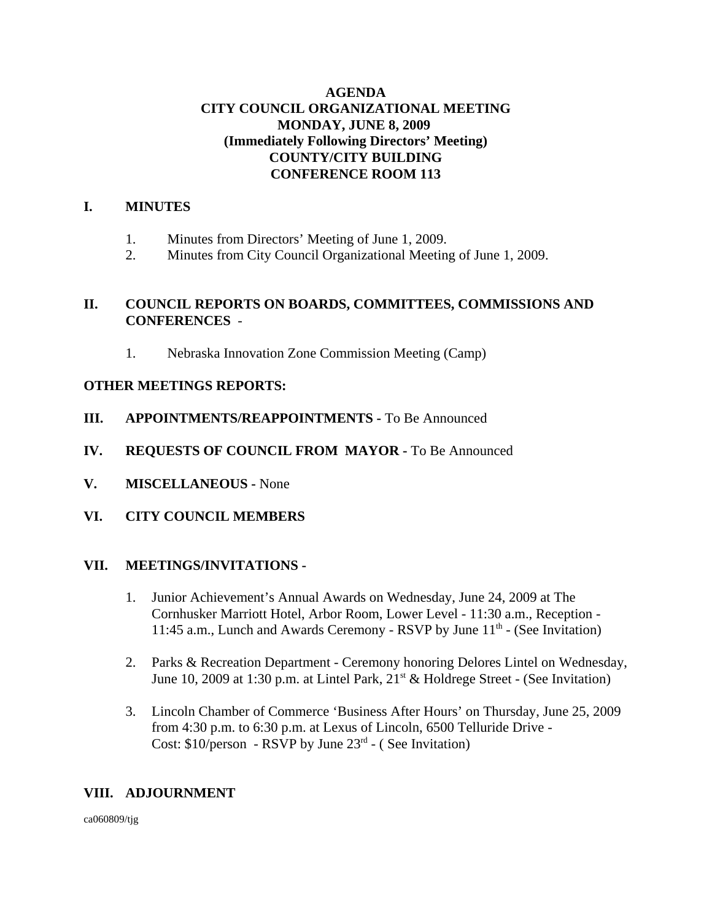#### **AGENDA CITY COUNCIL ORGANIZATIONAL MEETING MONDAY, JUNE 8, 2009 (Immediately Following Directors' Meeting) COUNTY/CITY BUILDING CONFERENCE ROOM 113**

# **I. MINUTES**

- 1. Minutes from Directors' Meeting of June 1, 2009.
- 2. Minutes from City Council Organizational Meeting of June 1, 2009.

#### **II. COUNCIL REPORTS ON BOARDS, COMMITTEES, COMMISSIONS AND CONFERENCES** -

1. Nebraska Innovation Zone Commission Meeting (Camp)

#### **OTHER MEETINGS REPORTS:**

- **III. APPOINTMENTS/REAPPOINTMENTS -** To Be Announced
- **IV. REQUESTS OF COUNCIL FROM MAYOR -** To Be Announced
- **V. MISCELLANEOUS -** None
- **VI. CITY COUNCIL MEMBERS**

#### **VII. MEETINGS/INVITATIONS -**

- 1. Junior Achievement's Annual Awards on Wednesday, June 24, 2009 at The Cornhusker Marriott Hotel, Arbor Room, Lower Level - 11:30 a.m., Reception - 11:45 a.m., Lunch and Awards Ceremony - RSVP by June  $11<sup>th</sup>$  - (See Invitation)
- 2. Parks & Recreation Department Ceremony honoring Delores Lintel on Wednesday, June 10, 2009 at 1:30 p.m. at Lintel Park,  $21<sup>st</sup>$  & Holdrege Street - (See Invitation)
- 3. Lincoln Chamber of Commerce 'Business After Hours' on Thursday, June 25, 2009 from 4:30 p.m. to 6:30 p.m. at Lexus of Lincoln, 6500 Telluride Drive - Cost:  $$10/person - RSVP$  by June  $23<sup>rd</sup> - (See Invitation)$

# **VIII. ADJOURNMENT**

ca060809/tjg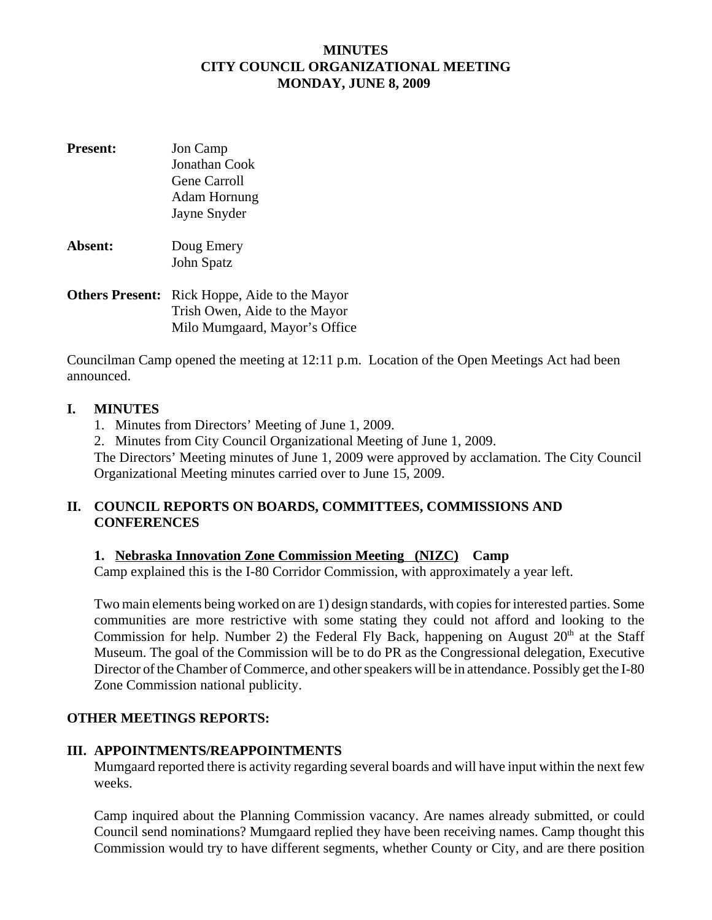# **MINUTES CITY COUNCIL ORGANIZATIONAL MEETING MONDAY, JUNE 8, 2009**

- **Present:** Jon Camp Jonathan Cook Gene Carroll Adam Hornung Jayne Snyder
- **Absent:** Doug Emery John Spatz
- **Others Present:** Rick Hoppe, Aide to the Mayor Trish Owen, Aide to the Mayor Milo Mumgaard, Mayor's Office

Councilman Camp opened the meeting at 12:11 p.m. Location of the Open Meetings Act had been announced.

#### **I. MINUTES**

- 1. Minutes from Directors' Meeting of June 1, 2009.
- 2. Minutes from City Council Organizational Meeting of June 1, 2009.

The Directors' Meeting minutes of June 1, 2009 were approved by acclamation. The City Council Organizational Meeting minutes carried over to June 15, 2009.

#### **II. COUNCIL REPORTS ON BOARDS, COMMITTEES, COMMISSIONS AND CONFERENCES**

# **1. Nebraska Innovation Zone Commission Meeting (NIZC) Camp**

Camp explained this is the I-80 Corridor Commission, with approximately a year left.

Two main elements being worked on are 1) design standards, with copies for interested parties. Some communities are more restrictive with some stating they could not afford and looking to the Commission for help. Number 2) the Federal Fly Back, happening on August  $20<sup>th</sup>$  at the Staff Museum. The goal of the Commission will be to do PR as the Congressional delegation, Executive Director of the Chamber of Commerce, and other speakers will be in attendance. Possibly get the I-80 Zone Commission national publicity.

# **OTHER MEETINGS REPORTS:**

# **III. APPOINTMENTS/REAPPOINTMENTS**

Mumgaard reported there is activity regarding several boards and will have input within the next few weeks.

Camp inquired about the Planning Commission vacancy. Are names already submitted, or could Council send nominations? Mumgaard replied they have been receiving names. Camp thought this Commission would try to have different segments, whether County or City, and are there position